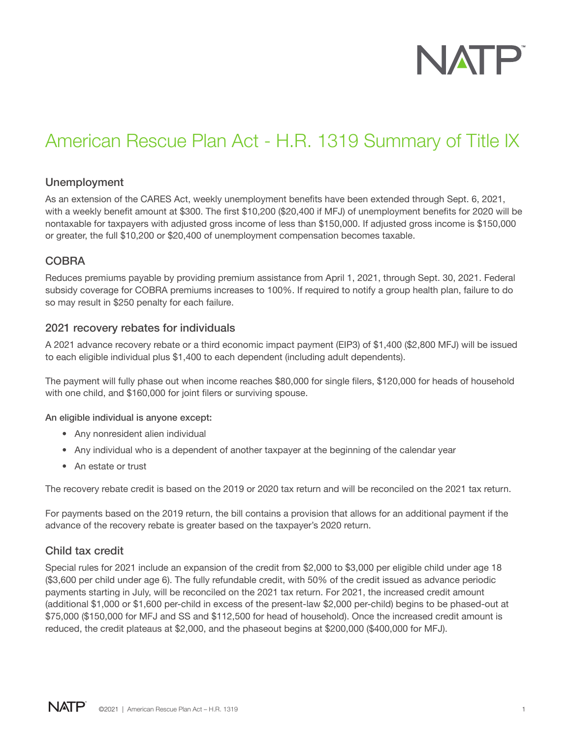

# American Rescue Plan Act - H.R. 1319 Summary of Title IX

#### Unemployment

As an extension of the CARES Act, weekly unemployment benefits have been extended through Sept. 6, 2021, with a weekly benefit amount at \$300. The first \$10,200 (\$20,400 if MFJ) of unemployment benefits for 2020 will be nontaxable for taxpayers with adjusted gross income of less than \$150,000. If adjusted gross income is \$150,000 or greater, the full \$10,200 or \$20,400 of unemployment compensation becomes taxable.

## **COBRA**

Reduces premiums payable by providing premium assistance from April 1, 2021, through Sept. 30, 2021. Federal subsidy coverage for COBRA premiums increases to 100%. If required to notify a group health plan, failure to do so may result in \$250 penalty for each failure.

#### 2021 recovery rebates for individuals

A 2021 advance recovery rebate or a third economic impact payment (EIP3) of \$1,400 (\$2,800 MFJ) will be issued to each eligible individual plus \$1,400 to each dependent (including adult dependents).

The payment will fully phase out when income reaches \$80,000 for single filers, \$120,000 for heads of household with one child, and \$160,000 for joint filers or surviving spouse.

#### An eligible individual is anyone except:

- Any nonresident alien individual
- Any individual who is a dependent of another taxpayer at the beginning of the calendar year
- An estate or trust

The recovery rebate credit is based on the 2019 or 2020 tax return and will be reconciled on the 2021 tax return.

For payments based on the 2019 return, the bill contains a provision that allows for an additional payment if the advance of the recovery rebate is greater based on the taxpayer's 2020 return.

#### Child tax credit

Special rules for 2021 include an expansion of the credit from \$2,000 to \$3,000 per eligible child under age 18 (\$3,600 per child under age 6). The fully refundable credit, with 50% of the credit issued as advance periodic payments starting in July, will be reconciled on the 2021 tax return. For 2021, the increased credit amount (additional \$1,000 or \$1,600 per-child in excess of the present-law \$2,000 per-child) begins to be phased-out at \$75,000 (\$150,000 for MFJ and SS and \$112,500 for head of household). Once the increased credit amount is reduced, the credit plateaus at \$2,000, and the phaseout begins at \$200,000 (\$400,000 for MFJ).

**NATP** ©2021 | American Rescue Plan Act – H.R. 1319 1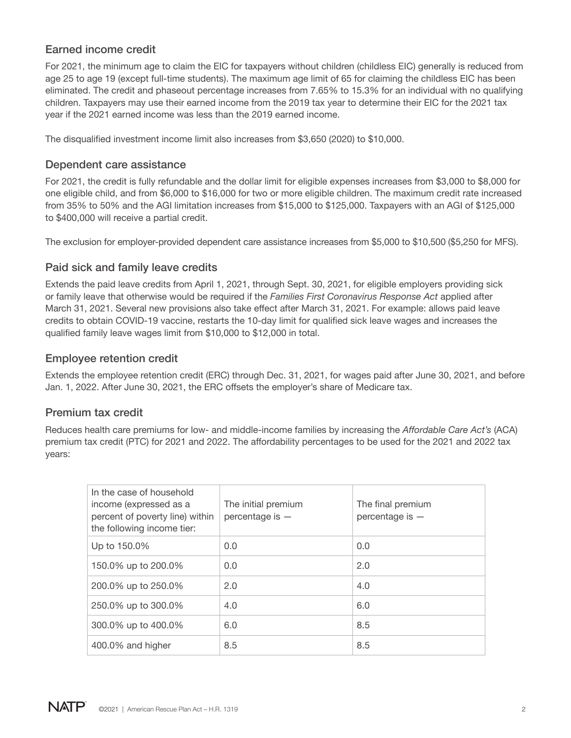## Earned income credit

For 2021, the minimum age to claim the EIC for taxpayers without children (childless EIC) generally is reduced from age 25 to age 19 (except full-time students). The maximum age limit of 65 for claiming the childless EIC has been eliminated. The credit and phaseout percentage increases from 7.65% to 15.3% for an individual with no qualifying children. Taxpayers may use their earned income from the 2019 tax year to determine their EIC for the 2021 tax year if the 2021 earned income was less than the 2019 earned income.

The disqualified investment income limit also increases from \$3,650 (2020) to \$10,000.

## Dependent care assistance

For 2021, the credit is fully refundable and the dollar limit for eligible expenses increases from \$3,000 to \$8,000 for one eligible child, and from \$6,000 to \$16,000 for two or more eligible children. The maximum credit rate increased from 35% to 50% and the AGI limitation increases from \$15,000 to \$125,000. Taxpayers with an AGI of \$125,000 to \$400,000 will receive a partial credit.

The exclusion for employer-provided dependent care assistance increases from \$5,000 to \$10,500 (\$5,250 for MFS).

## Paid sick and family leave credits

Extends the paid leave credits from April 1, 2021, through Sept. 30, 2021, for eligible employers providing sick or family leave that otherwise would be required if the *Families First Coronavirus Response Act* applied after March 31, 2021. Several new provisions also take effect after March 31, 2021. For example: allows paid leave credits to obtain COVID-19 vaccine, restarts the 10-day limit for qualified sick leave wages and increases the qualified family leave wages limit from \$10,000 to \$12,000 in total.

## Employee retention credit

Extends the employee retention credit (ERC) through Dec. 31, 2021, for wages paid after June 30, 2021, and before Jan. 1, 2022. After June 30, 2021, the ERC offsets the employer's share of Medicare tax.

## Premium tax credit

Reduces health care premiums for low- and middle-income families by increasing the *Affordable Care Act's* (ACA) premium tax credit (PTC) for 2021 and 2022. The affordability percentages to be used for the 2021 and 2022 tax years:

| In the case of household<br>income (expressed as a<br>percent of poverty line) within<br>the following income tier: | The initial premium<br>percentage is $-$ | The final premium<br>percentage is $-$ |
|---------------------------------------------------------------------------------------------------------------------|------------------------------------------|----------------------------------------|
| Up to 150.0%                                                                                                        | 0.0                                      | 0.0                                    |
| 150.0% up to 200.0%                                                                                                 | 0.0                                      | 2.0                                    |
| 200.0% up to 250.0%                                                                                                 | 2.0                                      | 4.0                                    |
| 250.0% up to 300.0%                                                                                                 | 4.0                                      | 6.0                                    |
| 300.0% up to 400.0%                                                                                                 | 6.0                                      | 8.5                                    |
| 400.0% and higher                                                                                                   | 8.5                                      | 8.5                                    |